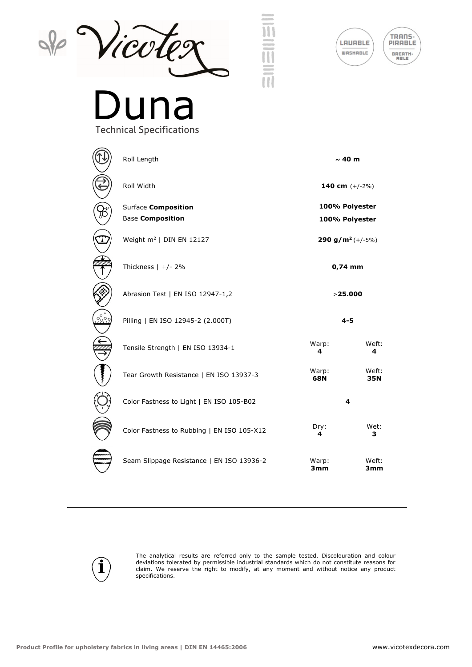





## Technical Specifications

| Roll Length                                           | $\sim$ 40 m                      |              |
|-------------------------------------------------------|----------------------------------|--------------|
| Roll Width                                            | 140 cm $(+/-2%)$                 |              |
| <b>Surface Composition</b><br><b>Base Composition</b> | 100% Polyester<br>100% Polyester |              |
| Weight $m^2$   DIN EN 12127                           | 290 g/m <sup>2</sup> $(+/-5%)$   |              |
| Thickness $  +/ - 2\%$                                | $0,74$ mm                        |              |
| Abrasion Test   EN ISO 12947-1,2                      | >25.000                          |              |
| Pilling   EN ISO 12945-2 (2.000T)                     | $4 - 5$                          |              |
| Tensile Strength   EN ISO 13934-1                     | Warp:<br>4                       | Weft:<br>4   |
| Tear Growth Resistance   EN ISO 13937-3               | Warp:<br>68N                     | Weft:<br>35N |
| Color Fastness to Light   EN ISO 105-B02              | 4                                |              |
| Color Fastness to Rubbing   EN ISO 105-X12            | Dry:<br>4                        | Wet:<br>3    |
| Seam Slippage Resistance   EN ISO 13936-2             | Warp:<br>3mm                     | Weft:<br>3mm |



The analytical results are referred only to the sample tested. Discolouration and colour deviations tolerated by permissible industrial standards which do not constitute reasons for claim. We reserve the right to modify, at any moment and without notice any product specifications.